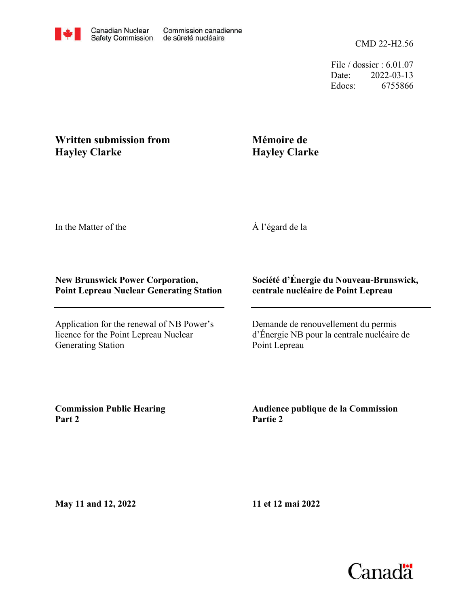CMD 22-H2.56

File / dossier : 6.01.07 Date: 2022-03-13 Edocs: 6755866

## **Written submission from Hayley Clarke**

## **Mémoire de Hayley Clarke**

In the Matter of the

À l'égard de la

## **New Brunswick Power Corporation, Point Lepreau Nuclear Generating Station**

Application for the renewal of NB Power's licence for the Point Lepreau Nuclear Generating Station

## **Société d'Énergie du Nouveau-Brunswick, centrale nucléaire de Point Lepreau**

Demande de renouvellement du permis d'Énergie NB pour la centrale nucléaire de Point Lepreau

**Commission Public Hearing Part 2**

**Audience publique de la Commission Partie 2**

**May 11 and 12, 2022**

**11 et 12 mai 2022**